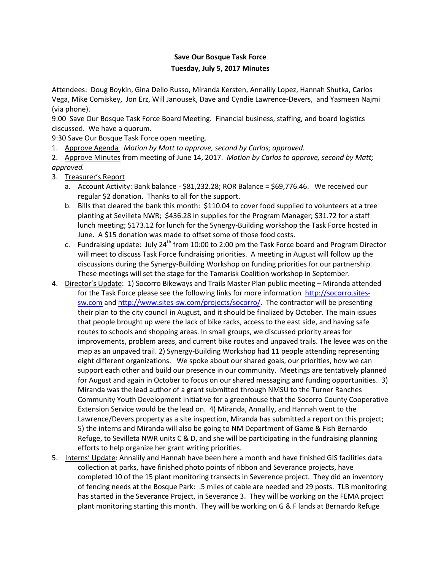## **Save Our Bosque Task Force Tuesday, July 5, 2017 Minutes**

Attendees: Doug Boykin, Gina Dello Russo, Miranda Kersten, Annalily Lopez, Hannah Shutka, Carlos Vega, Mike Comiskey, Jon Erz, Will Janousek, Dave and Cyndie Lawrence-Devers, and Yasmeen Najmi (via phone).

9:00 Save Our Bosque Task Force Board Meeting. Financial business, staffing, and board logistics discussed. We have a quorum.

9:30 Save Our Bosque Task Force open meeting.

1. Approve Agenda *Motion by Matt to approve, second by Carlos; approved.*

2. Approve Minutes from meeting of June 14, 2017. *Motion by Carlos to approve, second by Matt; approved.*

- 3. Treasurer's Report
	- a. Account Activity: Bank balance \$81,232.28; ROR Balance = \$69,776.46. We received our regular \$2 donation. Thanks to all for the support.
	- b. Bills that cleared the bank this month: \$110.04 to cover food supplied to volunteers at a tree planting at Sevilleta NWR; \$436.28 in supplies for the Program Manager; \$31.72 for a staff lunch meeting; \$173.12 for lunch for the Synergy-Building workshop the Task Force hosted in June. A \$15 donation was made to offset some of those food costs.
	- c. Fundraising update: July  $24<sup>th</sup>$  from 10:00 to 2:00 pm the Task Force board and Program Director will meet to discuss Task Force fundraising priorities. A meeting in August will follow up the discussions during the Synergy-Building Workshop on funding priorities for our partnership. These meetings will set the stage for the Tamarisk Coalition workshop in September.
- 4. Director's Update: 1) Socorro Bikeways and Trails Master Plan public meeting Miranda attended for the Task Force please see the following links for more information [http://socorro.sites](http://socorro.sites-sw.com/)[sw.com](http://socorro.sites-sw.com/) and [http://www.sites-sw.com/projects/socorro/.](http://www.sites-sw.com/projects/socorro/) The contractor will be presenting their plan to the city council in August, and it should be finalized by October. The main issues that people brought up were the lack of bike racks, access to the east side, and having safe routes to schools and shopping areas. In small groups, we discussed priority areas for improvements, problem areas, and current bike routes and unpaved trails. The levee was on the map as an unpaved trail. 2) Synergy-Building Workshop had 11 people attending representing eight different organizations. We spoke about our shared goals, our priorities, how we can support each other and build our presence in our community. Meetings are tentatively planned for August and again in October to focus on our shared messaging and funding opportunities. 3) Miranda was the lead author of a grant submitted through NMSU to the Turner Ranches Community Youth Development Initiative for a greenhouse that the Socorro County Cooperative Extension Service would be the lead on. 4) Miranda, Annalily, and Hannah went to the Lawrence/Devers property as a site inspection, Miranda has submitted a report on this project; 5) the interns and Miranda will also be going to NM Department of Game & Fish Bernardo Refuge, to Sevilleta NWR units C & D, and she will be participating in the fundraising planning efforts to help organize her grant writing priorities.
- 5. Interns' Update: Annalily and Hannah have been here a month and have finished GIS facilities data collection at parks, have finished photo points of ribbon and Severance projects, have completed 10 of the 15 plant monitoring transects in Severence project. They did an inventory of fencing needs at the Bosque Park: .5 miles of cable are needed and 29 posts. TLB monitoring has started in the Severance Project, in Severance 3. They will be working on the FEMA project plant monitoring starting this month. They will be working on G & F lands at Bernardo Refuge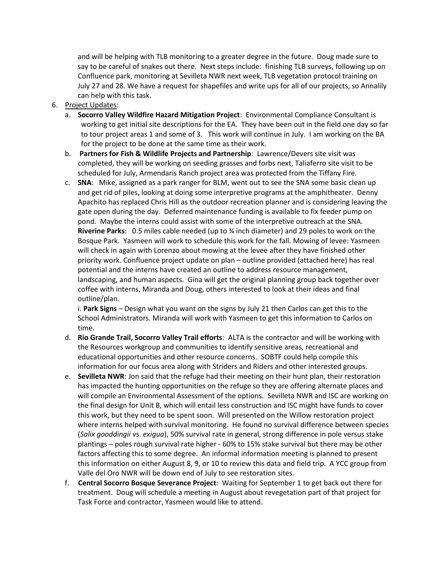and will be helping with TLB monitoring to a greater degree in the future. Doug made sure to say to be careful of snakes out there. Next steps include: finishing TLB surveys, following up on Confluence park, monitoring at Sevilleta NWR next week, TLB vegetation protocol training on July 27 and 28. We have a request for shapefiles and write ups for all of our projects, so Annalily can help with this task.

## 6. Project Updates:

- a. **Socorro Valley Wildfire Hazard Mitigation Project**: Environmental Compliance Consultant is working to get initial site descriptions for the EA. They have been out in the field one day so far to tour project areas 1 and some of 3. This work will continue in July. I am working on the BA for the project to be done at the same time as their work.
- b. **Partners for Fish & Wildlife Projects and Partnership**: Lawrence/Devers site visit was completed, they will be working on seeding grasses and forbs next, Taliaferro site visit to be scheduled for July, Armendaris Ranch project area was protected from the Tiffany Fire.
- c. **SNA**: Mike, assigned as a park ranger for BLM, went out to see the SNA some basic clean up and get rid of piles, looking at doing some interpretive programs at the amphitheater. Denny Apachito has replaced Chris Hill as the outdoor recreation planner and is considering leaving the gate open during the day. Deferred maintenance funding is available to fix feeder pump on pond. Maybe the interns could assist with some of the interpretive outreach at the SNA. **Riverine Parks**: 0.5 miles cable needed (up to ¾ inch diameter) and 29 poles to work on the Bosque Park. Yasmeen will work to schedule this work for the fall. Mowing of levee: Yasmeen will check in again with Lorenzo about mowing at the levee after they have finished other priority work. Confluence project update on plan – outline provided (attached here) has real potential and the interns have created an outline to address resource management, landscaping, and human aspects. Gina will get the original planning group back together over coffee with interns, Miranda and Doug, others interested to look at their ideas and final outline/plan.

i. **Park Signs** – Design what you want on the signs by July 21 then Carlos can get this to the School Administrators. Miranda will work with Yasmeen to get this information to Carlos on time.

- d. **Rio Grande Trail, Socorro Valley Trail efforts**: ALTA is the contractor and will be working with the Resources workgroup and communities to identify sensitive areas, recreational and educational opportunities and other resource concerns. SOBTF could help compile this information for our focus area along with Striders and Riders and other interested groups.
- e. **Sevilleta NWR**: Jon said that the refuge had their meeting on their hunt plan, their restoration has impacted the hunting opportunities on the refuge so they are offering alternate places and will compile an Environmental Assessment of the options. Sevilleta NWR and ISC are working on the final design for Unit B, which will entail less construction and ISC might have funds to cover this work, but they need to be spent soon. Will presented on the Willow restoration project where interns helped with survival monitoring. He found no survival difference between species (*Salix gooddingii* vs. *exigua*), 50% survival rate in general, strong difference in pole versus stake plantings – poles rough survival rate higher - 60% to 15% stake survival but there may be other factors affecting this to some degree. An informal information meeting is planned to present this information on either August 8, 9, or 10 to review this data and field trip. A YCC group from Valle del Oro NWR will be down end of July to see restoration sites.
- f. **Central Socorro Bosque Severance Project**: Waiting for September 1 to get back out there for treatment. Doug will schedule a meeting in August about revegetation part of that project for Task Force and contractor, Yasmeen would like to attend.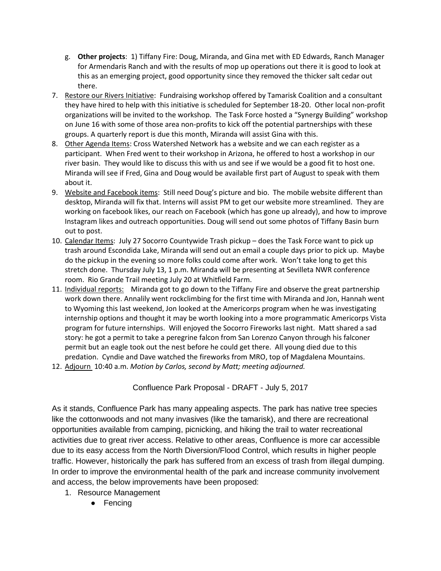- g. **Other projects**: 1) Tiffany Fire: Doug, Miranda, and Gina met with ED Edwards, Ranch Manager for Armendaris Ranch and with the results of mop up operations out there it is good to look at this as an emerging project, good opportunity since they removed the thicker salt cedar out there.
- 7. Restore our Rivers Initiative: Fundraising workshop offered by Tamarisk Coalition and a consultant they have hired to help with this initiative is scheduled for September 18-20. Other local non-profit organizations will be invited to the workshop. The Task Force hosted a "Synergy Building" workshop on June 16 with some of those area non-profits to kick off the potential partnerships with these groups. A quarterly report is due this month, Miranda will assist Gina with this.
- 8. Other Agenda Items: Cross Watershed Network has a website and we can each register as a participant. When Fred went to their workshop in Arizona, he offered to host a workshop in our river basin. They would like to discuss this with us and see if we would be a good fit to host one. Miranda will see if Fred, Gina and Doug would be available first part of August to speak with them about it.
- 9. Website and Facebook items: Still need Doug's picture and bio. The mobile website different than desktop, Miranda will fix that. Interns will assist PM to get our website more streamlined. They are working on facebook likes, our reach on Facebook (which has gone up already), and how to improve Instagram likes and outreach opportunities. Doug will send out some photos of Tiffany Basin burn out to post.
- 10. Calendar Items: July 27 Socorro Countywide Trash pickup does the Task Force want to pick up trash around Escondida Lake, Miranda will send out an email a couple days prior to pick up. Maybe do the pickup in the evening so more folks could come after work. Won't take long to get this stretch done. Thursday July 13, 1 p.m. Miranda will be presenting at Sevilleta NWR conference room. Rio Grande Trail meeting July 20 at Whitfield Farm.
- 11. Individual reports: Miranda got to go down to the Tiffany Fire and observe the great partnership work down there. Annalily went rockclimbing for the first time with Miranda and Jon, Hannah went to Wyoming this last weekend, Jon looked at the Americorps program when he was investigating internship options and thought it may be worth looking into a more programmatic Americorps Vista program for future internships. Will enjoyed the Socorro Fireworks last night. Matt shared a sad story: he got a permit to take a peregrine falcon from San Lorenzo Canyon through his falconer permit but an eagle took out the nest before he could get there. All young died due to this predation. Cyndie and Dave watched the fireworks from MRO, top of Magdalena Mountains.
- 12. Adjourn 10:40 a.m. *Motion by Carlos, second by Matt; meeting adjourned.*

Confluence Park Proposal - DRAFT - July 5, 2017

As it stands, Confluence Park has many appealing aspects. The park has native tree species like the cottonwoods and not many invasives (like the tamarisk), and there are recreational opportunities available from camping, picnicking, and hiking the trail to water recreational activities due to great river access. Relative to other areas, Confluence is more car accessible due to its easy access from the North Diversion/Flood Control, which results in higher people traffic. However, historically the park has suffered from an excess of trash from illegal dumping. In order to improve the environmental health of the park and increase community involvement and access, the below improvements have been proposed:

- 1. Resource Management
	- Fencing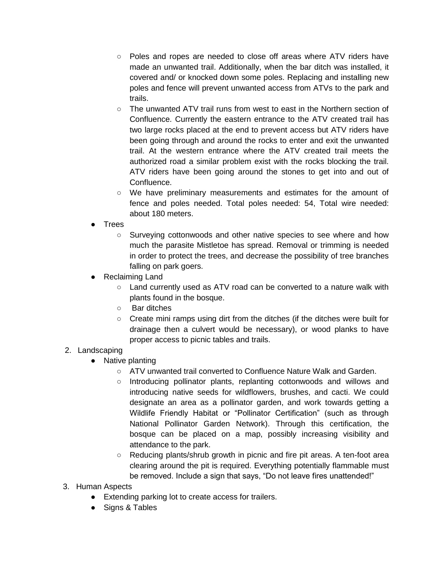- Poles and ropes are needed to close off areas where ATV riders have made an unwanted trail. Additionally, when the bar ditch was installed, it covered and/ or knocked down some poles. Replacing and installing new poles and fence will prevent unwanted access from ATVs to the park and trails.
- $\circ$  The unwanted ATV trail runs from west to east in the Northern section of Confluence. Currently the eastern entrance to the ATV created trail has two large rocks placed at the end to prevent access but ATV riders have been going through and around the rocks to enter and exit the unwanted trail. At the western entrance where the ATV created trail meets the authorized road a similar problem exist with the rocks blocking the trail. ATV riders have been going around the stones to get into and out of Confluence.
- We have preliminary measurements and estimates for the amount of fence and poles needed. Total poles needed: 54, Total wire needed: about 180 meters.
- Trees
	- Surveying cottonwoods and other native species to see where and how much the parasite Mistletoe has spread. Removal or trimming is needed in order to protect the trees, and decrease the possibility of tree branches falling on park goers.
- Reclaiming Land
	- Land currently used as ATV road can be converted to a nature walk with plants found in the bosque.
	- Bar ditches
	- Create mini ramps using dirt from the ditches (if the ditches were built for drainage then a culvert would be necessary), or wood planks to have proper access to picnic tables and trails.

## 2. Landscaping

- Native planting
	- ATV unwanted trail converted to Confluence Nature Walk and Garden.
	- Introducing pollinator plants, replanting cottonwoods and willows and introducing native seeds for wildflowers, brushes, and cacti. We could designate an area as a pollinator garden, and work towards getting a Wildlife Friendly Habitat or "Pollinator Certification" (such as through National Pollinator Garden Network). Through this certification, the bosque can be placed on a map, possibly increasing visibility and attendance to the park.
	- Reducing plants/shrub growth in picnic and fire pit areas. A ten-foot area clearing around the pit is required. Everything potentially flammable must be removed. Include a sign that says, "Do not leave fires unattended!"
- 3. Human Aspects
	- Extending parking lot to create access for trailers.
	- Signs & Tables